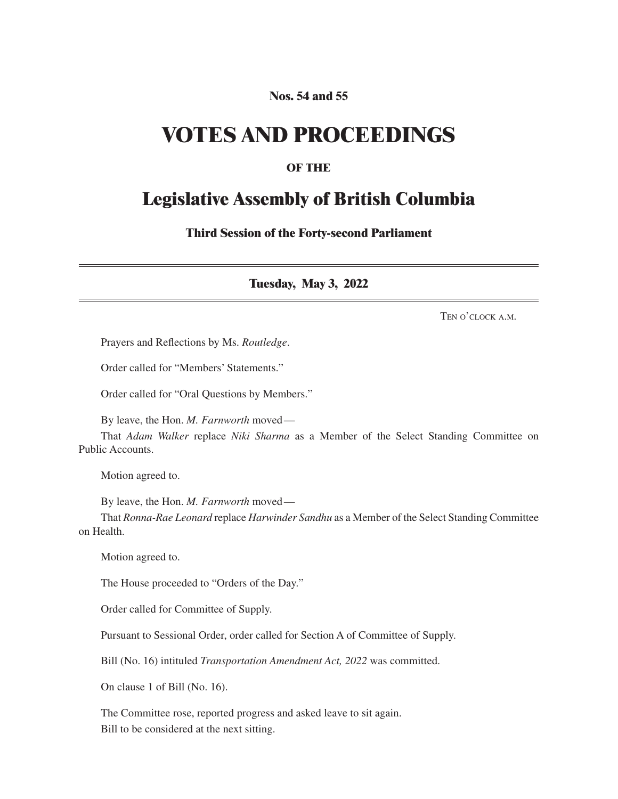#### **Nos. 54 and 55**

## **VOTES AND PROCEEDINGS**

#### **OF THE**

### **Legislative Assembly of British Columbia**

**Third Session of the Forty-second Parliament**

**Tuesday, May 3, 2022**

Ten o'clock a.m.

Prayers and Reflections by Ms. *Routledge*.

Order called for "Members' Statements."

Order called for "Oral Questions by Members."

By leave, the Hon. *M. Farnworth* moved—

That *Adam Walker* replace *Niki Sharma* as a Member of the Select Standing Committee on Public Accounts.

Motion agreed to.

By leave, the Hon. *M. Farnworth* moved—

That *Ronna-Rae Leonard* replace *Harwinder Sandhu* as a Member of the Select Standing Committee on Health.

Motion agreed to.

The House proceeded to "Orders of the Day."

Order called for Committee of Supply.

Pursuant to Sessional Order, order called for Section A of Committee of Supply.

Bill (No. 16) intituled *Transportation Amendment Act, 2022* was committed.

On clause 1 of Bill (No. 16).

The Committee rose, reported progress and asked leave to sit again. Bill to be considered at the next sitting.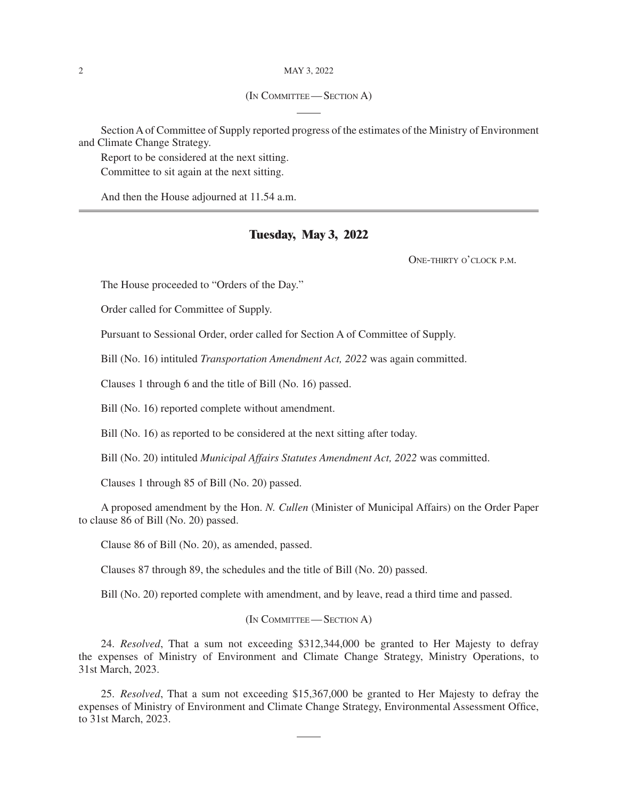#### 2 May 3, 2022

#### (In Committee—Section A)

Section A of Committee of Supply reported progress of the estimates of the Ministry of Environment and Climate Change Strategy.

Report to be considered at the next sitting. Committee to sit again at the next sitting.

And then the House adjourned at 11.54 a.m.

#### **Tuesday, May 3, 2022**

One-thirty o'clock p.m.

The House proceeded to "Orders of the Day."

Order called for Committee of Supply.

Pursuant to Sessional Order, order called for Section A of Committee of Supply.

Bill (No. 16) intituled *Transportation Amendment Act, 2022* was again committed.

Clauses 1 through 6 and the title of Bill (No. 16) passed.

Bill (No. 16) reported complete without amendment.

Bill (No. 16) as reported to be considered at the next sitting after today.

Bill (No. 20) intituled *Municipal Affairs Statutes Amendment Act, 2022* was committed.

Clauses 1 through 85 of Bill (No. 20) passed.

A proposed amendment by the Hon. *N. Cullen* (Minister of Municipal Affairs) on the Order Paper to clause 86 of Bill (No. 20) passed.

Clause 86 of Bill (No. 20), as amended, passed.

Clauses 87 through 89, the schedules and the title of Bill (No. 20) passed.

Bill (No. 20) reported complete with amendment, and by leave, read a third time and passed.

#### (In Committee—Section A)

24. *Resolved*, That a sum not exceeding \$312,344,000 be granted to Her Majesty to defray the expenses of Ministry of Environment and Climate Change Strategy, Ministry Operations, to 31st March, 2023.

25. *Resolved*, That a sum not exceeding \$15,367,000 be granted to Her Majesty to defray the expenses of Ministry of Environment and Climate Change Strategy, Environmental Assessment Office, to 31st March, 2023.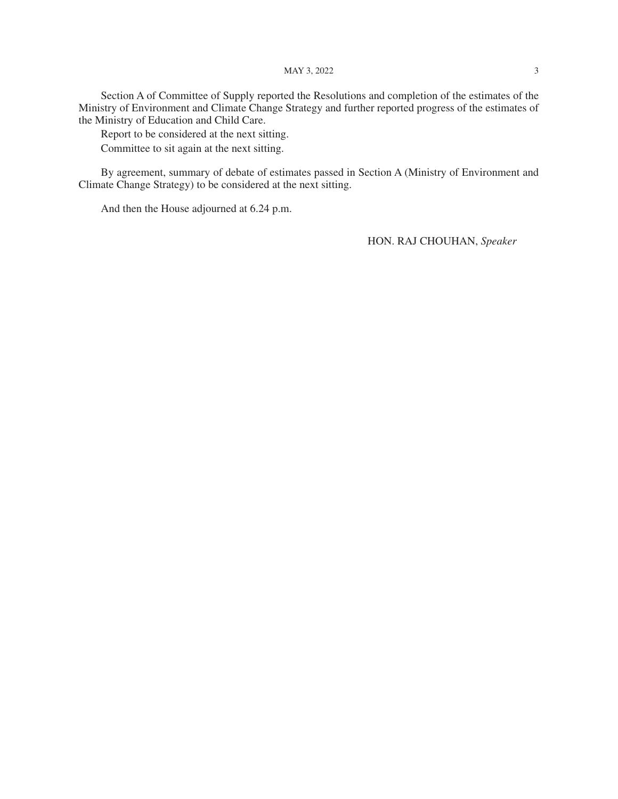#### MAY 3, 2022 3

Section A of Committee of Supply reported the Resolutions and completion of the estimates of the Ministry of Environment and Climate Change Strategy and further reported progress of the estimates of the Ministry of Education and Child Care.

Report to be considered at the next sitting.

Committee to sit again at the next sitting.

By agreement, summary of debate of estimates passed in Section A (Ministry of Environment and Climate Change Strategy) to be considered at the next sitting.

And then the House adjourned at 6.24 p.m.

HON. RAJ CHOUHAN, *Speaker*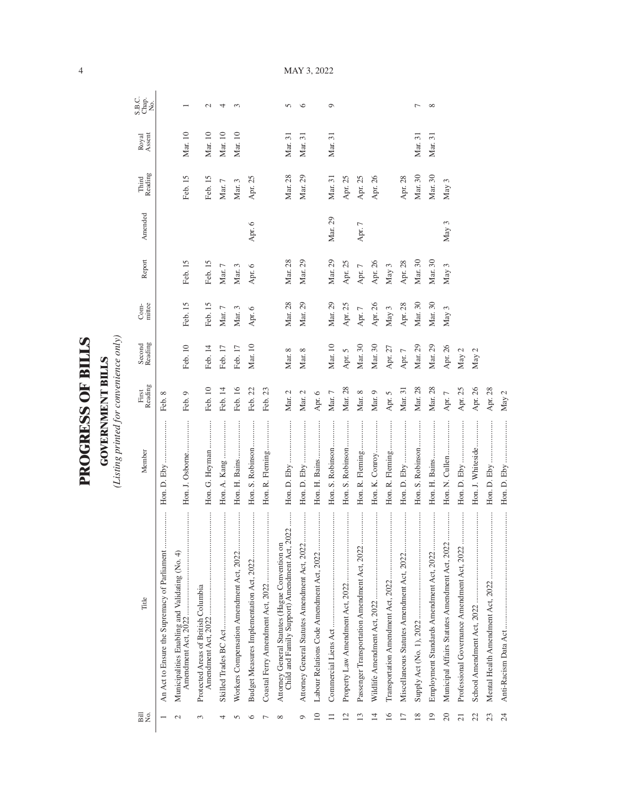| ١      |
|--------|
| l<br>י |
| ļ      |
|        |
|        |
| l      |
|        |
|        |
| č      |
| ļ      |
|        |
|        |
|        |
|        |

**GOVERNMENT BILLS**<br>(Listing printed for convenience only) *(Listing printed for convenience only)*

**GOVERNMENT BILLS**

| Bill<br>No.             | Title                                                                                           | Member                        | First<br>Reading | Second<br>Reading | mittee<br>$Com-$ | Report          | Amended          | Reading<br>Third | Royal<br>Assent | S.B.C.<br>Chap.<br>No. |
|-------------------------|-------------------------------------------------------------------------------------------------|-------------------------------|------------------|-------------------|------------------|-----------------|------------------|------------------|-----------------|------------------------|
|                         | <br>An Act to Ensure the Supremacy of Parliament                                                |                               | Feb. 8           |                   |                  |                 |                  |                  |                 |                        |
|                         | <br>Municipalities Enabling and Validating (No. 4)<br>Amendment Act, 2022                       | Hon. J. Osborne               | Feb. 9           | Feb. 10           | Feb. 15          | Feb. 15         |                  | Feb. 15          | Mar. 10         |                        |
| 3                       | Protected Areas of British Columbia                                                             | Hon. G. Heyman                | Feb. 10          | Feb. 14           | Feb. 15          | Feb. 15         |                  | Feb. 15          | Mar. 10         | $\mathbf{\sim}$        |
| 4                       |                                                                                                 |                               | Feb. 14          | Feb. 17           | $\rm{Mar.}$ $7$  | $\rm{Mar.}$ $7$ |                  | Mar. $7$         | Mar. 10         | 4                      |
|                         | <br>Workers Compensation Amendment Act, 2022                                                    |                               | Feb. 16          | Feb. 17           | Mar. 3           | Mar. 3          |                  | Mar. 3           | Mar. 10         | 3                      |
|                         |                                                                                                 | Hon. S. Robinson              | Feb. 22          | Mar. 10           | Apr. 6           | Apr. 6          | Apr. 6           | Apr. 25          |                 |                        |
|                         |                                                                                                 | Hon. R. Fleming               | Feb. 23          |                   |                  |                 |                  |                  |                 |                        |
| ∞                       | Child and Family Support) Amendment Act, 2022<br>Attorney General Statutes (Hague Convention on |                               | Mar. $2$         | Mar. 8            | Mar. 28          | Mar. 28         |                  | Mar. 28          | Mar. 31         | $\sqrt{2}$             |
|                         | Attorney General Statutes Amendment Act, 2022                                                   |                               | Mar. $2\,$       | Mar. 8            | Mar. 29          | Mar. 29         |                  | Mar. 29          | Mar. 31         | $\circ$                |
| $\supseteq$             | Labour Relations Code Amendment Act, 2022                                                       | Hon. H. Bains                 | Apr. 6           |                   |                  |                 |                  |                  |                 |                        |
|                         |                                                                                                 | Hon. S. Robinson              | Mar. 7           | Mar. 10           | Mar. 29          | Mar. 29         | Mar. 29          | Mar. 31          | Mar. 31         | ٥                      |
| $\overline{\mathbf{c}}$ |                                                                                                 | Hon. S. Robinson              | Mar. 28          | Apr. 5            | Apr. 25          | Apr. 25         |                  | Apr. 25          |                 |                        |
| ≌                       | Passenger Transportation Amendment Act, 2022                                                    | $\ddot{}}$<br>Hon. R. Fleming | Mar. $8$         | Mar. 30           | Apr. $7$         | Apr. $7$        | Apr. $7$         | Apr. 25          |                 |                        |
| $\overline{14}$         |                                                                                                 | Hon. K. Conroy                | Mar. 9           | Mar. 30           | Apr. 26          | Apr. 26         |                  | Apr. 26          |                 |                        |
| $\overline{16}$         |                                                                                                 | Hon. R. Fleming               | Apr. 5           | Apr. 27           | May $3$          | May 3           |                  |                  |                 |                        |
|                         | Miscellaneous Statutes Amendment Act, 2022                                                      |                               | Mar. 31          | Apr. $7$          | Apr. 28          | Apr. 28         |                  | Apr. 28          |                 |                        |
| $\overline{18}$         |                                                                                                 | Hon. S. Robinson              | Mar. 28          | Mar. 29           | Mar. 30          | Mar. 30         |                  | Mar. 30          | Mar. 31         | ┌                      |
| $\overline{19}$         | Employment Standards Amendment Act, 2022                                                        |                               | Mar. 28          | Mar. 29           | Mar. 30          | Mar. 30         |                  | Mar. 30          | Mar. 31         | $\infty$               |
| 20                      | <br>Municipal Affairs Statutes Amendment Act, 2022                                              |                               | Apr. $7$         | Apr. 26           | May 3            | May 3           | May <sub>3</sub> | May 3            |                 |                        |
| $\overline{c}$          | <br>Professional Governance Amendment Act, 2022                                                 |                               | Apr. 25          | May 2             |                  |                 |                  |                  |                 |                        |
|                         |                                                                                                 | Hon. J. Whiteside             | Apr. 26          | May 2             |                  |                 |                  |                  |                 |                        |
| 23                      |                                                                                                 |                               | Apr. 28          |                   |                  |                 |                  |                  |                 |                        |
| 24                      |                                                                                                 |                               | May $2$          |                   |                  |                 |                  |                  |                 |                        |

MAY 3, 2022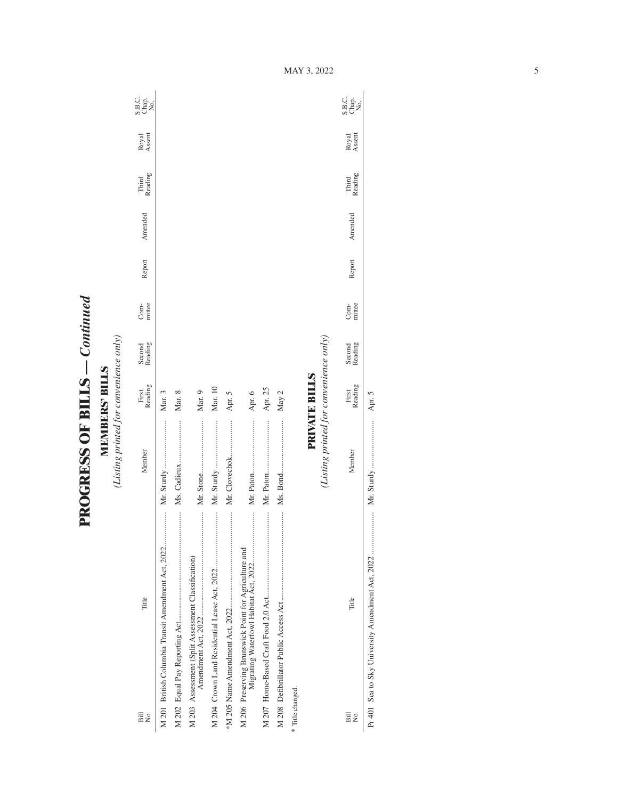**PROGRESS OF BILLS - Continued PROGRESS OF BILLS** *— Continued*

**MEMBERS' BILLS**<br>(Listing printed for convenience only) *(Listing printed for convenience only)* **MEMBERS' BILLS**

| Bill<br>Σó,      | Title                                                | Member                                 | Reading<br>First     | Second<br>Reading | mittee<br>Com- | Report | Amended | Reading<br>Third | Royal<br>Assent | S.B.c.<br>Chap.<br>No.     |
|------------------|------------------------------------------------------|----------------------------------------|----------------------|-------------------|----------------|--------|---------|------------------|-----------------|----------------------------|
|                  | M 201 British Columbia Transit Amendment Act, 2022   |                                        | Mar. 3               |                   |                |        |         |                  |                 |                            |
|                  |                                                      |                                        | Mar. 8               |                   |                |        |         |                  |                 |                            |
|                  | M 203 Assessment (Split Assessment Classification)   |                                        | Mar. 9               |                   |                |        |         |                  |                 |                            |
|                  |                                                      |                                        | Mar. 10              |                   |                |        |         |                  |                 |                            |
|                  |                                                      | Mr. Clovechok                          | Apr. 5               |                   |                |        |         |                  |                 |                            |
|                  | M 206 Preserving Brunswick Point for Agriculture and |                                        | Apr. 6               |                   |                |        |         |                  |                 |                            |
|                  | :::::::::::                                          |                                        | Apr. 25              |                   |                |        |         |                  |                 |                            |
|                  |                                                      |                                        | May 2                |                   |                |        |         |                  |                 |                            |
| * Title changed. |                                                      |                                        |                      |                   |                |        |         |                  |                 |                            |
|                  |                                                      |                                        | <b>PRIVATE BILLS</b> |                   |                |        |         |                  |                 |                            |
|                  |                                                      | (Listing printed for convenience only) |                      |                   |                |        |         |                  |                 |                            |
| Bill<br>Σó,      | Title                                                | Member                                 | Reading<br>First     | Second<br>Reading | mittee<br>Com- | Report | Amended | Third<br>Reading | Royal<br>Assent | C.<br>S.B.<br>X.B.<br>X.B. |

Pr 401 Sea to Sky University Amendment Act, 2022 ..................... Mr. Sturdy ........................ Apr. 5

Apr. 5

MAY 3, 2022